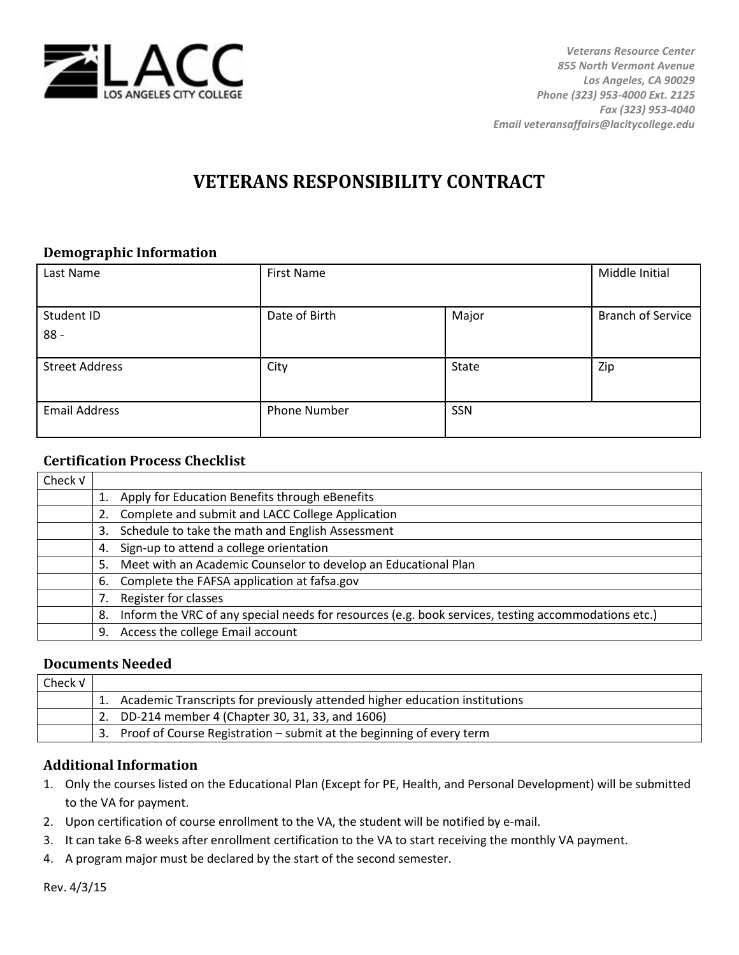

# **VETERANS RESPONSIBILITY CONTRACT**

#### **Demographic Information**

| Last Name             | <b>First Name</b>   |       | Middle Initial           |
|-----------------------|---------------------|-------|--------------------------|
|                       |                     |       |                          |
| Student ID            | Date of Birth       | Major | <b>Branch of Service</b> |
| $88 -$                |                     |       |                          |
|                       |                     |       |                          |
| <b>Street Address</b> | City                | State | Zip                      |
| <b>Email Address</b>  | <b>Phone Number</b> | SSN   |                          |

## **Certification Process Checklist**

| Check v |                                                                                                           |
|---------|-----------------------------------------------------------------------------------------------------------|
|         | 1. Apply for Education Benefits through eBenefits                                                         |
|         | 2. Complete and submit and LACC College Application                                                       |
|         | Schedule to take the math and English Assessment<br>3.                                                    |
|         | Sign-up to attend a college orientation<br>4.                                                             |
|         | Meet with an Academic Counselor to develop an Educational Plan<br>5.                                      |
|         | 6. Complete the FAFSA application at fafsa.gov                                                            |
|         | Register for classes                                                                                      |
|         | Inform the VRC of any special needs for resources (e.g. book services, testing accommodations etc.)<br>8. |
|         | Access the college Email account<br>9.                                                                    |

#### **Documents Needed**

| Check V |                                                                               |
|---------|-------------------------------------------------------------------------------|
|         | 1. Academic Transcripts for previously attended higher education institutions |
|         | 2. DD-214 member 4 (Chapter 30, 31, 33, and 1606)                             |
|         | 3. Proof of Course Registration – submit at the beginning of every term       |

## **Additional Information**

- 1. Only the courses listed on the Educational Plan (Except for PE, Health, and Personal Development) will be submitted to the VA for payment.
- 2. Upon certification of course enrollment to the VA, the student will be notified by e-mail.
- 3. It can take 6-8 weeks after enrollment certification to the VA to start receiving the monthly VA payment.
- 4. A program major must be declared by the start of the second semester.